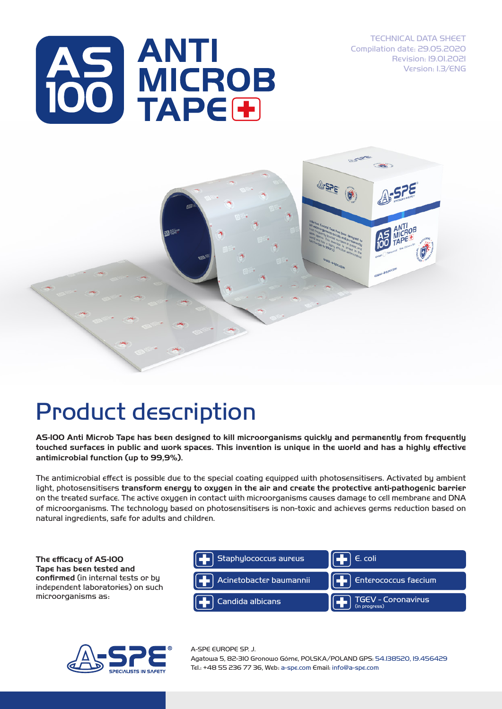TECHNICAL DATA SHEET Compilation date: 29.05.2020 Revision: 19.01.2021 Version: 1.3/ENG





## Product description

AS-100 Anti Microb Tape has been designed to kill microorganisms quickly and permanently from frequently touched surfaces in public and work spaces. This invention is unique in the world and has a highly effective antimicrobial function (up to 99,9%).

The antimicrobial effect is possible due to the special coating equipped with photosensitisers. Activated by ambient light, photosensitisers transform energy to oxygen in the air and create the protective anti-pathogenic barrier on the treated surface. The active oxygen in contact with microorganisms causes damage to cell membrane and DNA of microorganisms. The technology based on photosensitisers is non-toxic and achieves germs reduction based on natural ingredients, safe for adults and children.

The efficacy of AS-100 Tape has been tested and confirmed (in internal tests or by independent laboratories) on such microorganisms as:





A-SPE EUROPE SP. J.

Agatowa 5, 82-310 Gronowo Górne, POLSKA/POLAND GPS: 54.138520, 19.456429 Tel.: +48 55 236 77 36, Web: a-spe.com Email: info@a-spe.com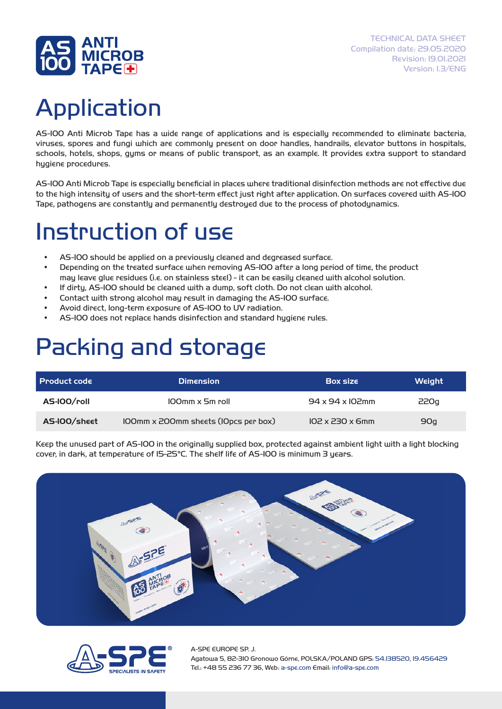

# Application

AS-100 Anti Microb Tape has a wide range of applications and is especially recommended to eliminate bacteria, viruses, spores and fungi which are commonly present on door handles, handrails, elevator buttons in hospitals, schools, hotels, shops, gyms or means of public transport, as an example. It provides extra support to standard hygiene procedures.

AS-100 Anti Microb Tape is especially beneficial in places where traditional disinfection methods are not effective due to the high intensity of users and the short-term effect just right after application. On surfaces covered with AS-100 Tape, pathogens are constantly and permanently destroyed due to the process of photodynamics.

### Instruction of use

- AS-100 should be applied on a previously cleaned and degreased surface.
- Depending on the treated surface when removing AS-100 after a long period of time, the product may leave glue residues (i.e. on stainless steel) - it can be easily cleaned with alcohol solution.
- If dirty, AS-100 should be cleaned with a dump, soft cloth. Do not clean with alcohol.
- Contact with strong alcohol may result in damaging the AS-100 surface.
- Avoid direct, long-term exposure of AS-100 to UV radiation.
- AS-100 does not replace hands disinfection and standard hygiene rules.

#### Packing and storage

| <b>Product code</b> | <b>Dimension</b>                            | <b>Box size</b>              | Weight |
|---------------------|---------------------------------------------|------------------------------|--------|
| AS-IOO/roll         | $100$ mm x 5m roll                          | $94 \times 94 \times 102$ mm | 220g   |
| AS-IOO/sheet        | <b>IOOmm x 200mm sheets (IOpcs per box)</b> | $102 \times 230 \times 6$ mm | 90q    |

Keep the unused part of AS-100 in the originally supplied box, protected against ambient light with a light blocking cover, in dark, at temperature of 15-25°C. The shelf life of AS-100 is minimum 3 years.





A-SPE EUROPE SP. J. Agatowa 5, 82-310 Gronowo Górne, POLSKA/POLAND GPS: 54.138520, 19.456429 Tel.: +48 55 236 77 36, Web: a-spe.com Email: info@a-spe.com